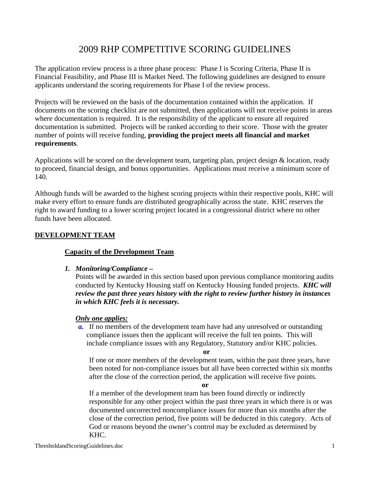# 2009 RHP COMPETITIVE SCORING GUIDELINES

The application review process is a three phase process: Phase I is Scoring Criteria, Phase II is Financial Feasibility, and Phase III is Market Need. The following guidelines are designed to ensure applicants understand the scoring requirements for Phase I of the review process.

Projects will be reviewed on the basis of the documentation contained within the application. If documents on the scoring checklist are not submitted, then applications will not receive points in areas where documentation is required. It is the responsibility of the applicant to ensure all required documentation is submitted. Projects will be ranked according to their score. Those with the greater number of points will receive funding, **providing the project meets all financial and market requirements**.

Applications will be scored on the development team, targeting plan, project design & location, ready to proceed, financial design, and bonus opportunities. Applications must receive a minimum score of 140.

Although funds will be awarded to the highest scoring projects within their respective pools, KHC will make every effort to ensure funds are distributed geographically across the state. KHC reserves the right to award funding to a lower scoring project located in a congressional district where no other funds have been allocated.

# **DEVELOPMENT TEAM**

# **Capacity of the Development Team**

# *1. Monitoring/Compliance –*

Points will be awarded in this section based upon previous compliance monitoring audits conducted by Kentucky Housing staff on Kentucky Housing funded projects. *KHC will review the past three years history with the right to review further history in instances in which KHC feels it is necessary.* 

# *Only one applies:*

*a.* If no members of the development team have had any unresolved or outstanding compliance issues then the applicant will receive the full ten points. This will include compliance issues with any Regulatory, Statutory and/or KHC policies.

#### **or**

 If one or more members of the development team, within the past three years, have been noted for non-compliance issues but all have been corrected within six months after the close of the correction period, the application will receive five points.

**or** 

 If a member of the development team has been found directly or indirectly responsible for any other project within the past three years in which there is or was documented uncorrected noncompliance issues for more than six months after the close of the correction period, five points will be deducted in this category. Acts of God or reasons beyond the owner's control may be excluded as determined by KHC.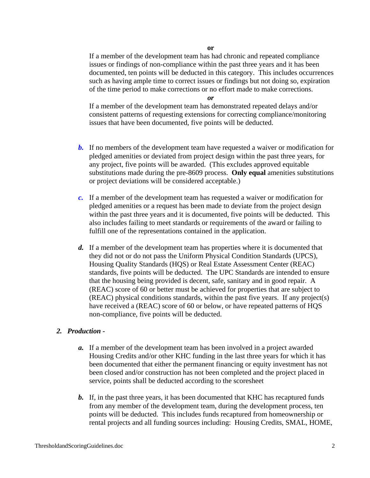#### **or**

 If a member of the development team has had chronic and repeated compliance issues or findings of non-compliance within the past three years and it has been documented, ten points will be deducted in this category. This includes occurrences such as having ample time to correct issues or findings but not doing so, expiration of the time period to make corrections or no effort made to make corrections.

#### *or*

 If a member of the development team has demonstrated repeated delays and/or consistent patterns of requesting extensions for correcting compliance/monitoring issues that have been documented, five points will be deducted.

- *b.* If no members of the development team have requested a waiver or modification for pledged amenities or deviated from project design within the past three years, for any project, five points will be awarded. (This excludes approved equitable substitutions made during the pre-8609 process. **Only equal** amenities substitutions or project deviations will be considered acceptable.)
- *c.* If a member of the development team has requested a waiver or modification for pledged amenities or a request has been made to deviate from the project design within the past three years and it is documented, five points will be deducted. This also includes failing to meet standards or requirements of the award or failing to fulfill one of the representations contained in the application.
- *d.* If a member of the development team has properties where it is documented that they did not or do not pass the Uniform Physical Condition Standards (UPCS), Housing Quality Standards (HQS) or Real Estate Assessment Center (REAC) standards, five points will be deducted. The UPC Standards are intended to ensure that the housing being provided is decent, safe, sanitary and in good repair. A (REAC) score of 60 or better must be achieved for properties that are subject to (REAC) physical conditions standards, within the past five years. If any project(s) have received a (REAC) score of 60 or below, or have repeated patterns of HQS non-compliance, five points will be deducted.

# *2. Production -*

- *a.* If a member of the development team has been involved in a project awarded Housing Credits and/or other KHC funding in the last three years for which it has been documented that either the permanent financing or equity investment has not been closed and/or construction has not been completed and the project placed in service, points shall be deducted according to the scoresheet
- *b.* If, in the past three years, it has been documented that KHC has recaptured funds from any member of the development team, during the development process, ten points will be deducted. This includes funds recaptured from homeownership or rental projects and all funding sources including: Housing Credits, SMAL, HOME,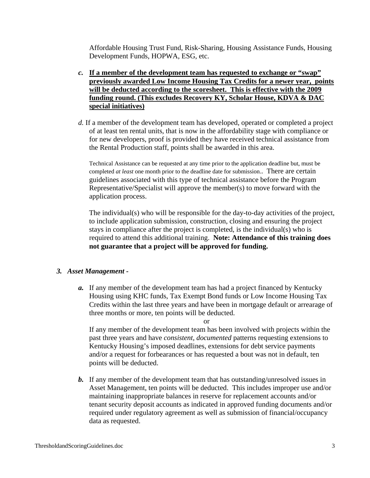Affordable Housing Trust Fund, Risk-Sharing, Housing Assistance Funds, Housing Development Funds, HOPWA, ESG, etc.

- *c.* **If a member of the development team has requested to exchange or "swap" previously awarded Low Income Housing Tax Credits for a newer year, points will be deducted according to the scoresheet. This is effective with the 2009 funding round. (This excludes Recovery KY, Scholar House, KDVA & DAC special initiatives)**
- *d.* If a member of the development team has developed, operated or completed a project of at least ten rental units, that is now in the affordability stage with compliance or for new developers, proof is provided they have received technical assistance from the Rental Production staff, points shall be awarded in this area.

Technical Assistance can be requested at any time prior to the application deadline but, must be completed *at least* one month prior to the deadline date for submission.. There are certain guidelines associated with this type of technical assistance before the Program Representative/Specialist will approve the member(s) to move forward with the application process.

 The individual(s) who will be responsible for the day-to-day activities of the project, to include application submission, construction, closing and ensuring the project stays in compliance after the project is completed, is the individual(s) who is required to attend this additional training. **Note: Attendance of this training does not guarantee that a project will be approved for funding.** 

#### *3. Asset Management -*

*a.* If any member of the development team has had a project financed by Kentucky Housing using KHC funds, Tax Exempt Bond funds or Low Income Housing Tax Credits within the last three years and have been in mortgage default or arrearage of three months or more, ten points will be deducted.

or

If any member of the development team has been involved with projects within the past three years and have *consistent, documented* patterns requesting extensions to Kentucky Housing's imposed deadlines, extensions for debt service payments and/or a request for forbearances or has requested a bout was not in default, ten points will be deducted.

*b.* If any member of the development team that has outstanding/unresolved issues in Asset Management, ten points will be deducted. This includes improper use and/or maintaining inappropriate balances in reserve for replacement accounts and/or tenant security deposit accounts as indicated in approved funding documents and/or required under regulatory agreement as well as submission of financial/occupancy data as requested.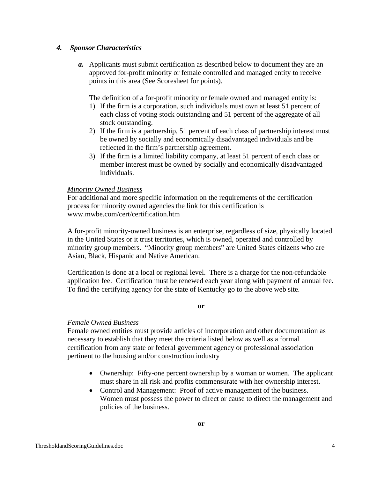### *4. Sponsor Characteristics*

*a.* Applicants must submit certification as described below to document they are an approved for-profit minority or female controlled and managed entity to receive points in this area (See Scoresheet for points).

The definition of a for-profit minority or female owned and managed entity is:

- 1) If the firm is a corporation, such individuals must own at least 51 percent of each class of voting stock outstanding and 51 percent of the aggregate of all stock outstanding.
- 2) If the firm is a partnership, 51 percent of each class of partnership interest must be owned by socially and economically disadvantaged individuals and be reflected in the firm's partnership agreement.
- 3) If the firm is a limited liability company, at least 51 percent of each class or member interest must be owned by socially and economically disadvantaged individuals.

#### *Minority Owned Business*

For additional and more specific information on the requirements of the certification process for minority owned agencies the link for this certification is www.mwbe.com/cert/certification.htm

A for-profit minority-owned business is an enterprise, regardless of size, physically located in the United States or it trust territories, which is owned, operated and controlled by minority group members. "Minority group members" are United States citizens who are Asian, Black, Hispanic and Native American.

Certification is done at a local or regional level. There is a charge for the non-refundable application fee. Certification must be renewed each year along with payment of annual fee. To find the certifying agency for the state of Kentucky go to the above web site.

**or** 

# *Female Owned Business*

Female owned entities must provide articles of incorporation and other documentation as necessary to establish that they meet the criteria listed below as well as a formal certification from any state or federal government agency or professional association pertinent to the housing and/or construction industry

- Ownership: Fifty-one percent ownership by a woman or women. The applicant must share in all risk and profits commensurate with her ownership interest.
- Control and Management: Proof of active management of the business. Women must possess the power to direct or cause to direct the management and policies of the business.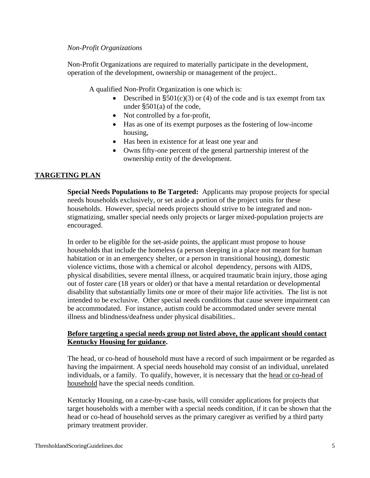### *Non-Profit Organizations*

Non-Profit Organizations are required to materially participate in the development, operation of the development, ownership or management of the project..

A qualified Non-Profit Organization is one which is:

- Described in  $\S501(c)(3)$  or (4) of the code and is tax exempt from tax under §501(a) of the code,
- Not controlled by a for-profit,
- Has as one of its exempt purposes as the fostering of low-income housing,
- Has been in existence for at least one year and
- Owns fifty-one percent of the general partnership interest of the ownership entity of the development.

# **TARGETING PLAN**

**Special Needs Populations to Be Targeted:** Applicants may propose projects for special needs households exclusively, or set aside a portion of the project units for these households. However, special needs projects should strive to be integrated and nonstigmatizing, smaller special needs only projects or larger mixed-population projects are encouraged.

In order to be eligible for the set-aside points, the applicant must propose to house households that include the homeless (a person sleeping in a place not meant for human habitation or in an emergency shelter, or a person in transitional housing), domestic violence victims, those with a chemical or alcohol dependency, persons with AIDS, physical disabilities, severe mental illness, or acquired traumatic brain injury, those aging out of foster care (18 years or older) or that have a mental retardation or developmental disability that substantially limits one or more of their major life activities. The list is not intended to be exclusive. Other special needs conditions that cause severe impairment can be accommodated. For instance, autism could be accommodated under severe mental illness and blindness/deafness under physical disabilities..

# **Before targeting a special needs group not listed above, the applicant should contact Kentucky Housing for guidance.**

The head, or co-head of household must have a record of such impairment or be regarded as having the impairment. A special needs household may consist of an individual, unrelated individuals, or a family. To qualify, however, it is necessary that the head or co-head of household have the special needs condition.

Kentucky Housing, on a case-by-case basis, will consider applications for projects that target households with a member with a special needs condition, if it can be shown that the head or co-head of household serves as the primary caregiver as verified by a third party primary treatment provider.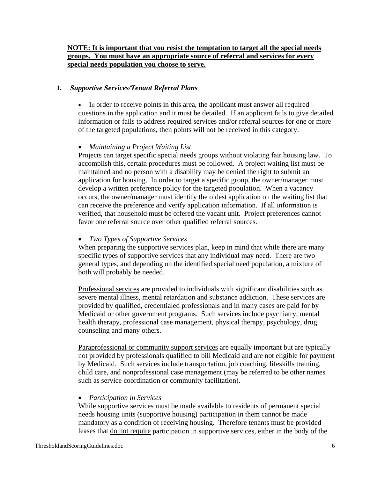# **NOTE: It is important that you resist the temptation to target all the special needs groups. You must have an appropriate source of referral and services for every special needs population you choose to serve.**

### *1. Supportive Services/Tenant Referral Plans*

• In order to receive points in this area, the applicant must answer all required questions in the application and it must be detailed. If an applicant fails to give detailed information or fails to address required services and/or referral sources for one or more of the targeted populations, then points will not be received in this category.

### • *Maintaining a Project Waiting List*

Projects can target specific special needs groups without violating fair housing law. To accomplish this, certain procedures must be followed. A project waiting list must be maintained and no person with a disability may be denied the right to submit an application for housing. In order to target a specific group, the owner/manager must develop a written preference policy for the targeted population. When a vacancy occurs, the owner/manager must identify the oldest application on the waiting list that can receive the preference and verify application information. If all information is verified, that household must be offered the vacant unit. Project preferences cannot favor one referral source over other qualified referral sources.

#### • *Two Types of Supportive Services*

When preparing the supportive services plan, keep in mind that while there are many specific types of supportive services that any individual may need. There are two general types, and depending on the identified special need population, a mixture of both will probably be needed.

Professional services are provided to individuals with significant disabilities such as severe mental illness, mental retardation and substance addiction. These services are provided by qualified, credentialed professionals and in many cases are paid for by Medicaid or other government programs. Such services include psychiatry, mental health therapy, professional case management, physical therapy, psychology, drug counseling and many others.

Paraprofessional or community support services are equally important but are typically not provided by professionals qualified to bill Medicaid and are not eligible for payment by Medicaid. Such services include transportation, job coaching, lifeskills training, child care, and nonprofessional case management (may be referred to be other names such as service coordination or community facilitation).

#### • *Participation in Services*

While supportive services must be made available to residents of permanent special needs housing units (supportive housing) participation in them cannot be made mandatory as a condition of receiving housing. Therefore tenants must be provided leases that do not require participation in supportive services, either in the body of the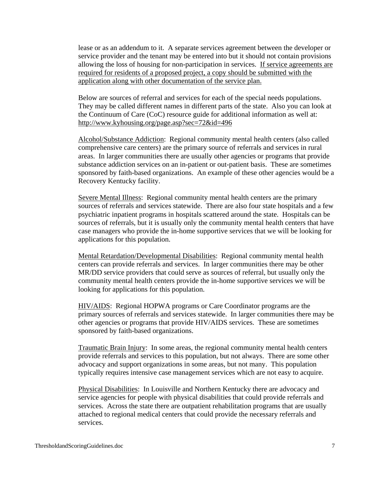lease or as an addendum to it. A separate services agreement between the developer or service provider and the tenant may be entered into but it should not contain provisions allowing the loss of housing for non-participation in services. If service agreements are required for residents of a proposed project, a copy should be submitted with the application along with other documentation of the service plan.

Below are sources of referral and services for each of the special needs populations. They may be called different names in different parts of the state. Also you can look at the Continuum of Care (CoC) resource guide for additional information as well at: http://www.kyhousing.org/page.asp?sec=72&id=496

Alcohol/Substance Addiction: Regional community mental health centers (also called comprehensive care centers) are the primary source of referrals and services in rural areas. In larger communities there are usually other agencies or programs that provide substance addiction services on an in-patient or out-patient basis. These are sometimes sponsored by faith-based organizations. An example of these other agencies would be a Recovery Kentucky facility.

Severe Mental Illness: Regional community mental health centers are the primary sources of referrals and services statewide. There are also four state hospitals and a few psychiatric inpatient programs in hospitals scattered around the state. Hospitals can be sources of referrals, but it is usually only the community mental health centers that have case managers who provide the in-home supportive services that we will be looking for applications for this population.

Mental Retardation/Developmental Disabilities: Regional community mental health centers can provide referrals and services. In larger communities there may be other MR/DD service providers that could serve as sources of referral, but usually only the community mental health centers provide the in-home supportive services we will be looking for applications for this population.

HIV/AIDS: Regional HOPWA programs or Care Coordinator programs are the primary sources of referrals and services statewide. In larger communities there may be other agencies or programs that provide HIV/AIDS services. These are sometimes sponsored by faith-based organizations.

Traumatic Brain Injury: In some areas, the regional community mental health centers provide referrals and services to this population, but not always. There are some other advocacy and support organizations in some areas, but not many. This population typically requires intensive case management services which are not easy to acquire.

Physical Disabilities: In Louisville and Northern Kentucky there are advocacy and service agencies for people with physical disabilities that could provide referrals and services. Across the state there are outpatient rehabilitation programs that are usually attached to regional medical centers that could provide the necessary referrals and services.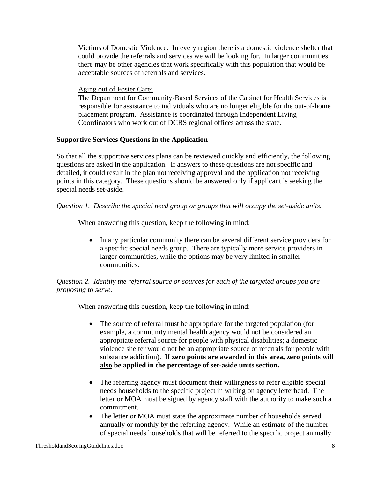Victims of Domestic Violence: In every region there is a domestic violence shelter that could provide the referrals and services we will be looking for. In larger communities there may be other agencies that work specifically with this population that would be acceptable sources of referrals and services.

#### Aging out of Foster Care:

The Department for Community-Based Services of the Cabinet for Health Services is responsible for assistance to individuals who are no longer eligible for the out-of-home placement program. Assistance is coordinated through Independent Living Coordinators who work out of DCBS regional offices across the state.

### **Supportive Services Questions in the Application**

So that all the supportive services plans can be reviewed quickly and efficiently, the following questions are asked in the application. If answers to these questions are not specific and detailed, it could result in the plan not receiving approval and the application not receiving points in this category. These questions should be answered only if applicant is seeking the special needs set-aside.

### *Question 1. Describe the special need group or groups that will occupy the set-aside units.*

When answering this question, keep the following in mind:

• In any particular community there can be several different service providers for a specific special needs group. There are typically more service providers in larger communities, while the options may be very limited in smaller communities.

# *Question 2. Identify the referral source or sources for each of the targeted groups you are proposing to serve.*

When answering this question, keep the following in mind:

- The source of referral must be appropriate for the targeted population (for example, a community mental health agency would not be considered an appropriate referral source for people with physical disabilities; a domestic violence shelter would not be an appropriate source of referrals for people with substance addiction). **If zero points are awarded in this area, zero points will also be applied in the percentage of set-aside units section.**
- The referring agency must document their willingness to refer eligible special needs households to the specific project in writing on agency letterhead. The letter or MOA must be signed by agency staff with the authority to make such a commitment.
- The letter or MOA must state the approximate number of households served annually or monthly by the referring agency. While an estimate of the number of special needs households that will be referred to the specific project annually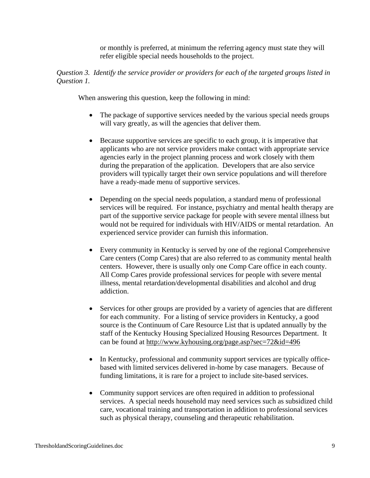or monthly is preferred, at minimum the referring agency must state they will refer eligible special needs households to the project.

#### *Question 3. Identify the service provider or providers for each of the targeted groups listed in Question 1.*

When answering this question, keep the following in mind:

- The package of supportive services needed by the various special needs groups will vary greatly, as will the agencies that deliver them.
- Because supportive services are specific to each group, it is imperative that applicants who are not service providers make contact with appropriate service agencies early in the project planning process and work closely with them during the preparation of the application. Developers that are also service providers will typically target their own service populations and will therefore have a ready-made menu of supportive services.
- Depending on the special needs population, a standard menu of professional services will be required. For instance, psychiatry and mental health therapy are part of the supportive service package for people with severe mental illness but would not be required for individuals with HIV/AIDS or mental retardation. An experienced service provider can furnish this information.
- Every community in Kentucky is served by one of the regional Comprehensive Care centers (Comp Cares) that are also referred to as community mental health centers. However, there is usually only one Comp Care office in each county. All Comp Cares provide professional services for people with severe mental illness, mental retardation/developmental disabilities and alcohol and drug addiction.
- Services for other groups are provided by a variety of agencies that are different for each community. For a listing of service providers in Kentucky, a good source is the Continuum of Care Resource List that is updated annually by the staff of the Kentucky Housing Specialized Housing Resources Department. It can be found at http://www.kyhousing.org/page.asp?sec=72&id=496
- In Kentucky, professional and community support services are typically officebased with limited services delivered in-home by case managers. Because of funding limitations, it is rare for a project to include site-based services.
- Community support services are often required in addition to professional services. A special needs household may need services such as subsidized child care, vocational training and transportation in addition to professional services such as physical therapy, counseling and therapeutic rehabilitation.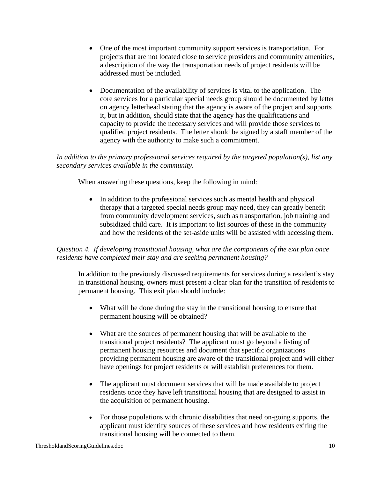- One of the most important community support services is transportation. For projects that are not located close to service providers and community amenities, a description of the way the transportation needs of project residents will be addressed must be included.
- Documentation of the availability of services is vital to the application. The core services for a particular special needs group should be documented by letter on agency letterhead stating that the agency is aware of the project and supports it, but in addition, should state that the agency has the qualifications and capacity to provide the necessary services and will provide those services to qualified project residents. The letter should be signed by a staff member of the agency with the authority to make such a commitment.

*In addition to the primary professional services required by the targeted population(s), list any secondary services available in the community.*

When answering these questions, keep the following in mind:

• In addition to the professional services such as mental health and physical therapy that a targeted special needs group may need, they can greatly benefit from community development services, such as transportation, job training and subsidized child care. It is important to list sources of these in the community and how the residents of the set-aside units will be assisted with accessing them.

# *Question 4. If developing transitional housing, what are the components of the exit plan once residents have completed their stay and are seeking permanent housing?*

In addition to the previously discussed requirements for services during a resident's stay in transitional housing, owners must present a clear plan for the transition of residents to permanent housing. This exit plan should include:

- What will be done during the stay in the transitional housing to ensure that permanent housing will be obtained?
- What are the sources of permanent housing that will be available to the transitional project residents? The applicant must go beyond a listing of permanent housing resources and document that specific organizations providing permanent housing are aware of the transitional project and will either have openings for project residents or will establish preferences for them.
- The applicant must document services that will be made available to project residents once they have left transitional housing that are designed to assist in the acquisition of permanent housing.
- For those populations with chronic disabilities that need on-going supports, the applicant must identify sources of these services and how residents exiting the transitional housing will be connected to them.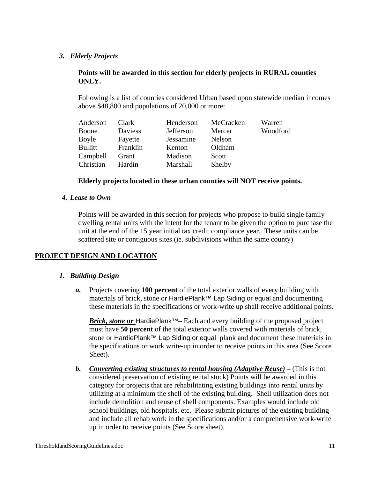### *3. Elderly Projects*

### **Points will be awarded in this section for elderly projects in RURAL counties ONLY.**

Following is a list of counties considered Urban based upon statewide median incomes above \$48,800 and populations of 20,000 or more:

| Anderson       | Clark    | Henderson | McCracken | Warren   |
|----------------|----------|-----------|-----------|----------|
| Boone          | Daviess  | Jefferson | Mercer    | Woodford |
| Boyle          | Fayette  | Jessamine | Nelson    |          |
| <b>Bullitt</b> | Franklin | Kenton    | Oldham    |          |
| Campbell       | Grant    | Madison   | Scott     |          |
| Christian      | Hardin   | Marshall  | Shelby    |          |

#### **Elderly projects located in these urban counties will NOT receive points.**

### *4. Lease to Own*

Points will be awarded in this section for projects who propose to build single family dwelling rental units with the intent for the tenant to be given the option to purchase the unit at the end of the 15 year initial tax credit compliance year. These units can be scattered site or contiguous sites (ie. subdivisions within the same county)

# **PROJECT DESIGN AND LOCATION**

# *1. Building Design*

*a.* Projects covering **100 percent** of the total exterior walls of every building with materials of brick, stone or HardiePlank™ Lap Siding or equal and documenting these materials in the specifications or work-write up shall receive additional points.

*Brick, stone* or HardiePlank<sup>™</sup>– Each and every building of the proposed project must have **50 percent** of the total exterior walls covered with materials of brick, stone or HardiePlank™ Lap Siding or equal plank and document these materials in the specifications or work write-up in order to receive points in this area (See Score Sheet).

*b. Converting existing structures to rental housing (Adaptive Reuse) –* (This is not considered preservation of existing rental stock) Points will be awarded in this category for projects that are rehabilitating existing buildings into rental units by utilizing at a minimum the shell of the existing building. Shell utilization does not include demolition and reuse of shell components. Examples would include old school buildings, old hospitals, etc. Please submit pictures of the existing building and include all rehab work in the specifications and/or a comprehensive work-write up in order to receive points (See Score sheet).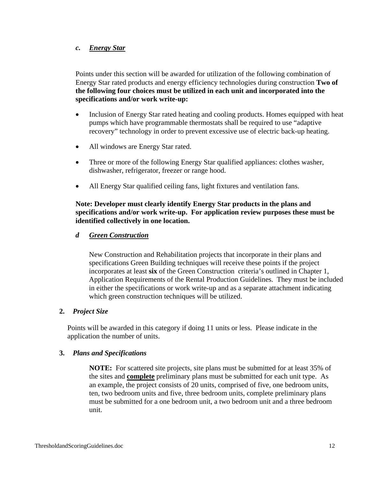# *c. Energy Star*

Points under this section will be awarded for utilization of the following combination of Energy Star rated products and energy efficiency technologies during construction **Two of the following four choices must be utilized in each unit and incorporated into the specifications and/or work write-up:** 

- Inclusion of Energy Star rated heating and cooling products. Homes equipped with heat pumps which have programmable thermostats shall be required to use "adaptive recovery" technology in order to prevent excessive use of electric back-up heating.
- All windows are Energy Star rated.
- Three or more of the following Energy Star qualified appliances: clothes washer, dishwasher, refrigerator, freezer or range hood.
- All Energy Star qualified ceiling fans, light fixtures and ventilation fans.

**Note: Developer must clearly identify Energy Star products in the plans and specifications and/or work write-up. For application review purposes these must be identified collectively in one location.** 

# *d Green Construction*

New Construction and Rehabilitation projects that incorporate in their plans and specifications Green Building techniques will receive these points if the project incorporates at least **six** of the Green Construction criteria's outlined in Chapter 1, Application Requirements of the Rental Production Guidelines. They must be included in either the specifications or work write-up and as a separate attachment indicating which green construction techniques will be utilized.

# **2.** *Project Size*

Points will be awarded in this category if doing 11 units or less. Please indicate in the application the number of units.

#### **3.** *Plans and Specifications*

**NOTE:** For scattered site projects, site plans must be submitted for at least 35% of the sites and **complete** preliminary plans must be submitted for each unit type. As an example, the project consists of 20 units, comprised of five, one bedroom units, ten, two bedroom units and five, three bedroom units, complete preliminary plans must be submitted for a one bedroom unit, a two bedroom unit and a three bedroom unit.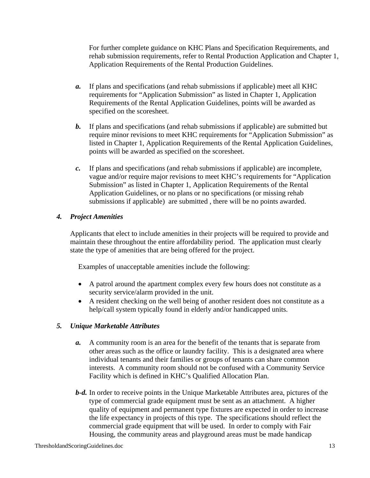For further complete guidance on KHC Plans and Specification Requirements, and rehab submission requirements, refer to Rental Production Application and Chapter 1, Application Requirements of the Rental Production Guidelines.

- *a.* If plans and specifications (and rehab submissions if applicable) meet all KHC requirements for "Application Submission" as listed in Chapter 1, Application Requirements of the Rental Application Guidelines, points will be awarded as specified on the scoresheet.
- *b.* If plans and specifications (and rehab submissions if applicable) are submitted but require minor revisions to meet KHC requirements for "Application Submission" as listed in Chapter 1, Application Requirements of the Rental Application Guidelines, points will be awarded as specified on the scoresheet.
- *c.* If plans and specifications (and rehab submissions if applicable) are incomplete, vague and/or require major revisions to meet KHC's requirements for "Application Submission" as listed in Chapter 1, Application Requirements of the Rental Application Guidelines, or no plans or no specifications (or missing rehab submissions if applicable) are submitted , there will be no points awarded.

# *4. Project Amenities*

Applicants that elect to include amenities in their projects will be required to provide and maintain these throughout the entire affordability period. The application must clearly state the type of amenities that are being offered for the project.

Examples of unacceptable amenities include the following:

- A patrol around the apartment complex every few hours does not constitute as a security service/alarm provided in the unit.
- A resident checking on the well being of another resident does not constitute as a help/call system typically found in elderly and/or handicapped units.

# *5. Unique Marketable Attributes*

- *a.* A community room is an area for the benefit of the tenants that is separate from other areas such as the office or laundry facility. This is a designated area where individual tenants and their families or groups of tenants can share common interests. A community room should not be confused with a Community Service Facility which is defined in KHC's Qualified Allocation Plan.
- *b-d.* In order to receive points in the Unique Marketable Attributes area, pictures of the type of commercial grade equipment must be sent as an attachment. A higher quality of equipment and permanent type fixtures are expected in order to increase the life expectancy in projects of this type. The specifications should reflect the commercial grade equipment that will be used. In order to comply with Fair Housing, the community areas and playground areas must be made handicap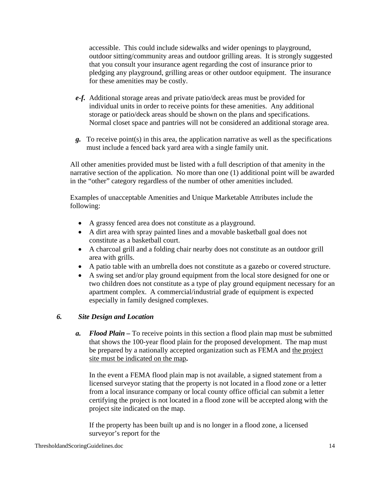accessible. This could include sidewalks and wider openings to playground, outdoor sitting/community areas and outdoor grilling areas. It is strongly suggested that you consult your insurance agent regarding the cost of insurance prior to pledging any playground, grilling areas or other outdoor equipment. The insurance for these amenities may be costly.

- *e-f.* Additional storage areas and private patio/deck areas must be provided for individual units in order to receive points for these amenities. Any additional storage or patio/deck areas should be shown on the plans and specifications. Normal closet space and pantries will not be considered an additional storage area.
- *g.* To receive point(s) in this area, the application narrative as well as the specifications must include a fenced back yard area with a single family unit.

All other amenities provided must be listed with a full description of that amenity in the narrative section of the application. No more than one (1) additional point will be awarded in the "other" category regardless of the number of other amenities included.

Examples of unacceptable Amenities and Unique Marketable Attributes include the following:

- A grassy fenced area does not constitute as a playground.
- A dirt area with spray painted lines and a movable basketball goal does not constitute as a basketball court.
- A charcoal grill and a folding chair nearby does not constitute as an outdoor grill area with grills.
- A patio table with an umbrella does not constitute as a gazebo or covered structure.
- A swing set and/or play ground equipment from the local store designed for one or two children does not constitute as a type of play ground equipment necessary for an apartment complex. A commercial/industrial grade of equipment is expected especially in family designed complexes.

# *6. Site Design and Location*

*a. Flood Plain –* To receive points in this section a flood plain map must be submitted that shows the 100-year flood plain for the proposed development. The map must be prepared by a nationally accepted organization such as FEMA and the project site must be indicated on the map**.** 

In the event a FEMA flood plain map is not available, a signed statement from a licensed surveyor stating that the property is not located in a flood zone or a letter from a local insurance company or local county office official can submit a letter certifying the project is not located in a flood zone will be accepted along with the project site indicated on the map.

If the property has been built up and is no longer in a flood zone, a licensed surveyor's report for the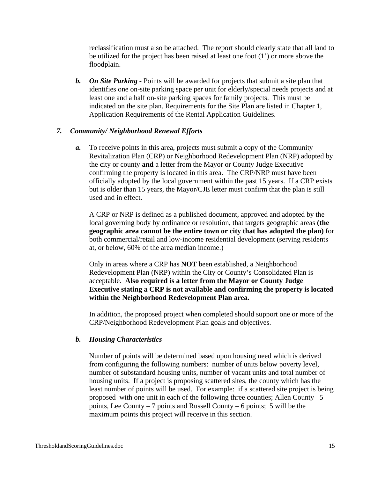reclassification must also be attached. The report should clearly state that all land to be utilized for the project has been raised at least one foot (1') or more above the floodplain.

*b. On Site Parking -* Points will be awarded for projects that submit a site plan that identifies one on-site parking space per unit for elderly/special needs projects and at least one and a half on-site parking spaces for family projects. This must be indicated on the site plan. Requirements for the Site Plan are listed in Chapter 1, Application Requirements of the Rental Application Guidelines.

### *7. Community/ Neighborhood Renewal Efforts*

*a.* To receive points in this area, projects must submit a copy of the Community Revitalization Plan (CRP) or Neighborhood Redevelopment Plan (NRP) adopted by the city or county **and** a letter from the Mayor or County Judge Executive confirming the property is located in this area. The CRP/NRP must have been officially adopted by the local government within the past 15 years. If a CRP exists but is older than 15 years, the Mayor/CJE letter must confirm that the plan is still used and in effect.

A CRP or NRP is defined as a published document, approved and adopted by the local governing body by ordinance or resolution, that targets geographic areas **(the geographic area cannot be the entire town or city that has adopted the plan)** for both commercial/retail and low-income residential development (serving residents at, or below, 60% of the area median income.)

Only in areas where a CRP has **NOT** been established, a Neighborhood Redevelopment Plan (NRP) within the City or County's Consolidated Plan is acceptable. **Also required is a letter from the Mayor or County Judge Executive stating a CRP is not available and confirming the property is located within the Neighborhood Redevelopment Plan area.** 

In addition, the proposed project when completed should support one or more of the CRP/Neighborhood Redevelopment Plan goals and objectives.

#### *b. Housing Characteristics*

Number of points will be determined based upon housing need which is derived from configuring the following numbers: number of units below poverty level, number of substandard housing units, number of vacant units and total number of housing units. If a project is proposing scattered sites, the county which has the least number of points will be used. For example: if a scattered site project is being proposed with one unit in each of the following three counties; Allen County –5 points, Lee County – 7 points and Russell County – 6 points; 5 will be the maximum points this project will receive in this section.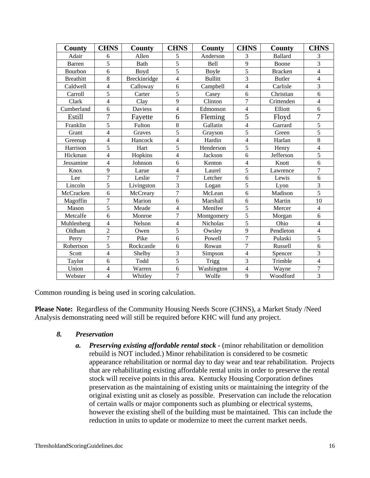| <b>County</b>    | <b>CHNS</b>              | County         | <b>CHNS</b>             | County         | <b>CHNS</b>              | County         | <b>CHNS</b>    |
|------------------|--------------------------|----------------|-------------------------|----------------|--------------------------|----------------|----------------|
| Adair            | 6                        | Allen          | 5                       | Anderson       | 3                        | <b>Ballard</b> | 3              |
| <b>Barren</b>    | 5                        | Bath           | 5                       | Bell           | 9                        | Boone          | 3              |
| Bourbon          | 6                        | Boyd           | 5                       | Boyle          | 5                        | <b>Bracken</b> | $\overline{4}$ |
| <b>Breathitt</b> | 8                        | Breckinridge   | 4                       | <b>Bullitt</b> | $\overline{3}$           | <b>Butler</b>  | 4              |
| Caldwell         | $\overline{4}$           | Calloway       | 6                       | Campbell       | $\overline{4}$           | Carlisle       | 3              |
| Carroll          | $\overline{5}$           | Carter         | 5                       | Casey          | 6                        | Christian      | 6              |
| Clark            | $\overline{4}$           | Clay           | 9                       | Clinton        | $\overline{7}$           | Crittenden     | $\overline{4}$ |
| Cumberland       | 6                        | <b>Daviess</b> | $\overline{4}$          | Edmonson       | $\overline{4}$           | Elliott        | 6              |
| Estill           | 7                        | Fayette        | 6                       | Fleming        | $\overline{5}$           | Floyd          | $\overline{7}$ |
| Franklin         | 5                        | Fulton         | 8                       | Gallatin       | $\overline{4}$           | Garrard        | 5              |
| Grant            | $\overline{\mathbf{4}}$  | Graves         | 5                       | Grayson        | 5                        | Green          | 5              |
| Greenup          | $\overline{\mathcal{L}}$ | Hancock        | $\overline{4}$          | Hardin         | $\overline{\mathcal{L}}$ | Harlan         | 8              |
| Harrison         | 5                        | Hart           | 5                       | Henderson      | 5                        | Henry          | $\overline{4}$ |
| Hickman          | 4                        | Hopkins        | $\overline{\mathbf{4}}$ | Jackson        | 6                        | Jefferson      | 5              |
| Jessamine        | $\overline{4}$           | Johnson        | 6                       | Kenton         | $\overline{4}$           | Knott          | 6              |
| Knox             | 9                        | Larue          | $\overline{4}$          | Laurel         | 5                        | Lawrence       | $\overline{7}$ |
| Lee              | $\overline{7}$           | Leslie         | $\overline{7}$          | Letcher        | 6                        | Lewis          | 6              |
| Lincoln          | 5                        | Livingston     | $\overline{3}$          | Logan          | 5                        | Lyon           | $\overline{3}$ |
| McCracken        | 6                        | McCreary       | $\overline{7}$          | McLean         | 6                        | Madison        | $\overline{5}$ |
| Magoffin         | $\overline{7}$           | Marion         | 6                       | Marshall       | 6                        | Martin         | 10             |
| Mason            | 5                        | Meade          | $\overline{4}$          | Menifee        | 5                        | Mercer         | $\overline{4}$ |
| Metcalfe         | 6                        | Monroe         | $\overline{7}$          | Montgomery     | 5                        | Morgan         | 6              |
| Muhlenberg       | $\overline{4}$           | Nelson         | $\overline{4}$          | Nicholas       | $\overline{5}$           | Ohio           | $\overline{4}$ |
| Oldham           | $\overline{2}$           | Owen           | 5                       | Owsley         | 9                        | Pendleton      | $\overline{4}$ |
| Perry            | $\overline{7}$           | Pike           | 6                       | Powell         | $\overline{7}$           | Pulaski        | 5              |
| Robertson        | 5                        | Rockcastle     | 6                       | Rowan          | $\overline{7}$           | Russell        | 6              |
| Scott            | $\overline{4}$           | Shelby         | 3                       | Simpson        | $\overline{\mathcal{L}}$ | Spencer        | 3              |
| Taylor           | 6                        | Todd           | 5                       | <b>Trigg</b>   | $\overline{3}$           | Trimble        | $\overline{4}$ |
| Union            | 4                        | Warren         | 6                       | Washington     | $\overline{4}$           | Wayne          | 7              |
| Webster          | $\overline{4}$           | Whitley        | $\overline{7}$          | Wolfe          | 9                        | Woodford       | $\overline{3}$ |

Common rounding is being used in scoring calculation.

**Please Note:** Regardless of the Community Housing Needs Score (CHNS), a Market Study /Need Analysis demonstrating need will still be required before KHC will fund any project.

- *8. Preservation* 
	- *a.* Preserving existing affordable rental stock (minor rehabilitation or demolition rebuild is NOT included.) Minor rehabilitation is considered to be cosmetic appearance rehabilitation or normal day to day wear and tear rehabilitation. Projects that are rehabilitating existing affordable rental units in order to preserve the rental stock will receive points in this area. Kentucky Housing Corporation defines preservation as the maintaining of existing units or maintaining the integrity of the original existing unit as closely as possible. Preservation can include the relocation of certain walls or major components such as plumbing or electrical systems, however the existing shell of the building must be maintained. This can include the reduction in units to update or modernize to meet the current market needs.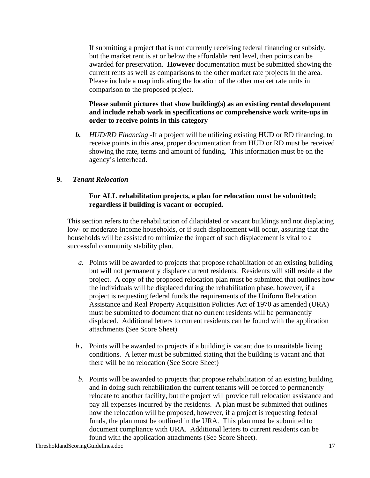If submitting a project that is not currently receiving federal financing or subsidy, but the market rent is at or below the affordable rent level, then points can be awarded for preservation. **However** documentation must be submitted showing the current rents as well as comparisons to the other market rate projects in the area. Please include a map indicating the location of the other market rate units in comparison to the proposed project.

### **Please submit pictures that show building(s) as an existing rental development and include rehab work in specifications or comprehensive work write-ups in order to receive points in this category**

*b. HUD/RD Financing -*If a project will be utilizing existing HUD or RD financing, to receive points in this area, proper documentation from HUD or RD must be received showing the rate, terms and amount of funding. This information must be on the agency's letterhead.

# **9.** *Tenant Relocation*

### **For ALL rehabilitation projects, a plan for relocation must be submitted; regardless if building is vacant or occupied.**

This section refers to the rehabilitation of dilapidated or vacant buildings and not displacing low- or moderate-income households, or if such displacement will occur, assuring that the households will be assisted to minimize the impact of such displacement is vital to a successful community stability plan.

- *a.* Points will be awarded to projects that propose rehabilitation of an existing building but will not permanently displace current residents. Residents will still reside at the project. A copy of the proposed relocation plan must be submitted that outlines how the individuals will be displaced during the rehabilitation phase, however, if a project is requesting federal funds the requirements of the Uniform Relocation Assistance and Real Property Acquisition Policies Act of 1970 as amended (URA) must be submitted to document that no current residents will be permanently displaced. Additional letters to current residents can be found with the application attachments (See Score Sheet)
- *b..* Points will be awarded to projects if a building is vacant due to unsuitable living conditions. A letter must be submitted stating that the building is vacant and that there will be no relocation (See Score Sheet)
- *b.* Points will be awarded to projects that propose rehabilitation of an existing building and in doing such rehabilitation the current tenants will be forced to permanently relocate to another facility, but the project will provide full relocation assistance and pay all expenses incurred by the residents. A plan must be submitted that outlines how the relocation will be proposed, however, if a project is requesting federal funds, the plan must be outlined in the URA. This plan must be submitted to document compliance with URA. Additional letters to current residents can be found with the application attachments (See Score Sheet).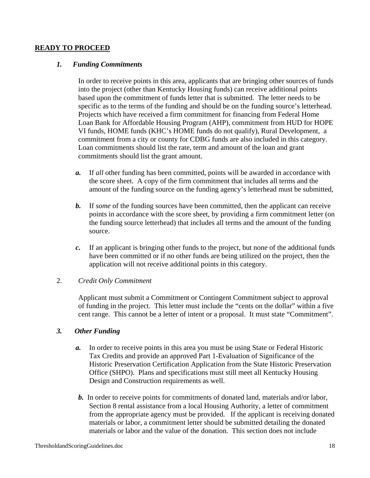#### **READY TO PROCEED**

#### *1. Funding Commitments*

In order to receive points in this area, applicants that are bringing other sources of funds into the project (other than Kentucky Housing funds) can receive additional points based upon the commitment of funds letter that is submitted. The letter needs to be specific as to the terms of the funding and should be on the funding source's letterhead. Projects which have received a firm commitment for financing from Federal Home Loan Bank for Affordable Housing Program (AHP), commitment from HUD for HOPE VI funds, HOME funds (KHC's HOME funds do not qualify), Rural Development, a commitment from a city or county for CDBG funds are also included in this category. Loan commitments should list the rate, term and amount of the loan and grant commitments should list the grant amount.

- *a.* If *all* other funding has been committed, points will be awarded in accordance with the score sheet. A copy of the firm commitment that includes all terms and the amount of the funding source on the funding agency's letterhead must be submitted,
- **b.** If *some* of the funding sources have been committed, then the applicant can receive points in accordance with the score sheet, by providing a firm commitment letter (on the funding source letterhead) that includes all terms and the amount of the funding source.
- *c.* If an applicant is bringing other funds to the project, but none of the additional funds have been committed or if no other funds are being utilized on the project, then the application will not receive additional points in this category.

#### 2. *Credit Only Commitment*

Applicant must submit a Commitment or Contingent Commitment subject to approval of funding in the project. This letter must include the "cents on the dollar" within a five cent range. This cannot be a letter of intent or a proposal. It must state "Commitment".

#### *3. Other Funding*

- *a.* In order to receive points in this area you must be using State or Federal Historic Tax Credits and provide an approved Part 1-Evaluation of Significance of the Historic Preservation Certification Application from the State Historic Preservation Office (SHPO). Plans and specifications must still meet all Kentucky Housing Design and Construction requirements as well.
- *b.* In order to receive points for commitments of donated land, materials and/or labor, Section 8 rental assistance from a local Housing Authority, a letter of commitment from the appropriate agency must be provided. If the applicant is receiving donated materials or labor, a commitment letter should be submitted detailing the donated materials or labor and the value of the donation. This section does not include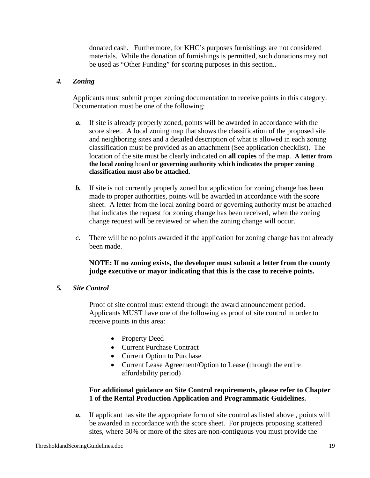donated cash. Furthermore, for KHC's purposes furnishings are not considered materials. While the donation of furnishings is permitted, such donations may not be used as "Other Funding" for scoring purposes in this section..

# *4. Zoning*

Applicants must submit proper zoning documentation to receive points in this category. Documentation must be one of the following:

- *a.* If site is already properly zoned, points will be awarded in accordance with the score sheet. A local zoning map that shows the classification of the proposed site and neighboring sites and a detailed description of what is allowed in each zoning classification must be provided as an attachment (See application checklist). The location of the site must be clearly indicated on **all copies** of the map. **A letter from the local zoning** board **or governing authority which indicates the proper zoning classification must also be attached.**
- *b.* If site is not currently properly zoned but application for zoning change has been made to proper authorities, points will be awarded in accordance with the score sheet. A letter from the local zoning board or governing authority must be attached that indicates the request for zoning change has been received, when the zoning change request will be reviewed or when the zoning change will occur.
- *c.* There will be no points awarded if the application for zoning change has not already been made.

**NOTE: If no zoning exists, the developer must submit a letter from the county judge executive or mayor indicating that this is the case to receive points.** 

# *5. Site Control*

Proof of site control must extend through the award announcement period. Applicants MUST have one of the following as proof of site control in order to receive points in this area:

- Property Deed
- Current Purchase Contract
- Current Option to Purchase
- Current Lease Agreement/Option to Lease (through the entire affordability period)

# **For additional guidance on Site Control requirements, please refer to Chapter 1 of the Rental Production Application and Programmatic Guidelines.**

*a.* If applicant has site the appropriate form of site control as listed above , points will be awarded in accordance with the score sheet. For projects proposing scattered sites, where 50% or more of the sites are non-contiguous you must provide the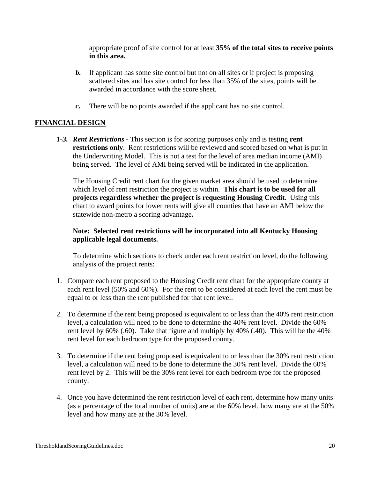appropriate proof of site control for at least **35% of the total sites to receive points in this area.** 

- *b.* If applicant has some site control but not on all sites or if project is proposing scattered sites and has site control for less than 35% of the sites, points will be awarded in accordance with the score sheet.
- *c.* There will be no points awarded if the applicant has no site control.

# **FINANCIAL DESIGN**

*1-3. Rent Restrictions -* This section is for scoring purposes only and is testing **rent restrictions only**. Rent restrictions will be reviewed and scored based on what is put in the Underwriting Model. This is not a test for the level of area median income (AMI) being served. The level of AMI being served will be indicated in the application.

 The Housing Credit rent chart for the given market area should be used to determine which level of rent restriction the project is within. **This chart is to be used for all projects regardless whether the project is requesting Housing Credit**. Using this chart to award points for lower rents will give all counties that have an AMI below the statewide non-metro a scoring advantage**.** 

### **Note: Selected rent restrictions will be incorporated into all Kentucky Housing applicable legal documents.**

To determine which sections to check under each rent restriction level, do the following analysis of the project rents:

- 1. Compare each rent proposed to the Housing Credit rent chart for the appropriate county at each rent level (50% and 60%). For the rent to be considered at each level the rent must be equal to or less than the rent published for that rent level.
- 2. To determine if the rent being proposed is equivalent to or less than the 40% rent restriction level, a calculation will need to be done to determine the 40% rent level. Divide the 60% rent level by 60% (.60). Take that figure and multiply by 40% (.40). This will be the 40% rent level for each bedroom type for the proposed county.
- 3. To determine if the rent being proposed is equivalent to or less than the 30% rent restriction level, a calculation will need to be done to determine the 30% rent level. Divide the 60% rent level by 2. This will be the 30% rent level for each bedroom type for the proposed county.
- 4. Once you have determined the rent restriction level of each rent, determine how many units (as a percentage of the total number of units) are at the 60% level, how many are at the 50% level and how many are at the 30% level.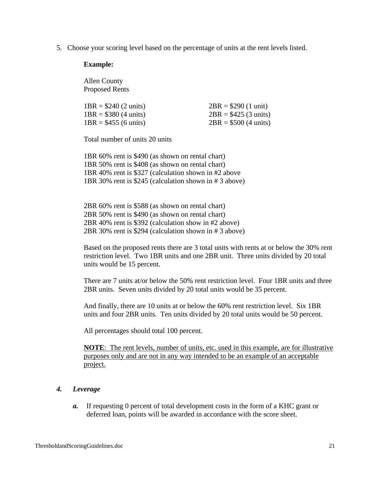5. Choose your scoring level based on the percentage of units at the rent levels listed.

#### **Example:**

Allen County Proposed Rents

| $1BR = $240 (2 units)$ | $2BR = $290 (1 unit)$  |
|------------------------|------------------------|
| $1BR = $380 (4 units)$ | $2BR = $425 (3 units)$ |
| $1BR = $455 (6 units)$ | $2BR = $500 (4 units)$ |

Total number of units 20 units

 1BR 60% rent is \$490 (as shown on rental chart) 1BR 50% rent is \$408 (as shown on rental chart) 1BR 40% rent is \$327 (calculation shown in #2 above 1BR 30% rent is \$245 (calculation shown in # 3 above)

2BR 60% rent is \$588 (as shown on rental chart) 2BR 50% rent is \$490 (as shown on rental chart) 2BR 40% rent is \$392 (calculation show in #2 above) 2BR 30% rent is \$294 (calculation shown in # 3 above)

Based on the proposed rents there are 3 total units with rents at or below the 30% rent restriction level. Two 1BR units and one 2BR unit. Three units divided by 20 total units would be 15 percent.

There are 7 units at/or below the 50% rent restriction level. Four 1BR units and three 2BR units. Seven units divided by 20 total units would be 35 percent.

And finally, there are 10 units at or below the 60% rent restriction level. Six 1BR units and four 2BR units. Ten units divided by 20 total units would be 50 percent.

All percentages should total 100 percent.

**NOTE**: The rent levels, number of units, etc. used in this example, are for illustrative purposes only and are not in any way intended to be an example of an acceptable project.

#### *4. Leverage*

*a.* If requesting 0 percent of total development costs in the form of a KHC grant or deferred loan, points will be awarded in accordance with the score sheet.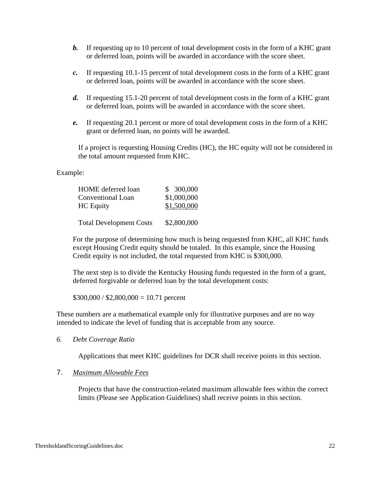- *b.* If requesting up to 10 percent of total development costs in the form of a KHC grant or deferred loan, points will be awarded in accordance with the score sheet.
- *c.* If requesting 10.1-15 percent of total development costs in the form of a KHC grant or deferred loan, points will be awarded in accordance with the score sheet.
- *d.* If requesting 15.1-20 percent of total development costs in the form of a KHC grant or deferred loan, points will be awarded in accordance with the score sheet.
- *e.* If requesting 20.1 percent or more of total development costs in the form of a KHC grant or deferred loan, no points will be awarded.

If a project is requesting Housing Credits (HC), the HC equity will not be considered in the total amount requested from KHC.

#### Example:

| <b>HOME</b> deferred loan      | \$300,000   |
|--------------------------------|-------------|
| Conventional Loan              | \$1,000,000 |
| <b>HC</b> Equity               | \$1,500,000 |
|                                |             |
| <b>Total Development Costs</b> | \$2,800,000 |

For the purpose of determining how much is being requested from KHC, all KHC funds except Housing Credit equity should be totaled. In this example, since the Housing Credit equity is not included, the total requested from KHC is \$300,000.

The next step is to divide the Kentucky Housing funds requested in the form of a grant, deferred forgivable or deferred loan by the total development costs:

 $$300,000 / $2,800,000 = 10.71$  percent

These numbers are a mathematical example only for illustrative purposes and are no way intended to indicate the level of funding that is acceptable from any source.

*6. Debt Coverage Ratio* 

Applications that meet KHC guidelines for DCR shall receive points in this section.

#### 7. *Maximum Allowable Fees*

Projects that have the construction-related maximum allowable fees within the correct limits (Please see Application Guidelines) shall receive points in this section.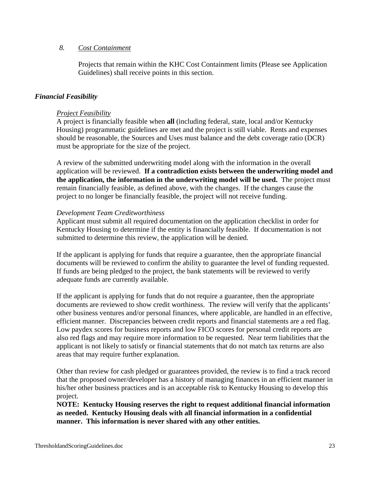#### *8. Cost Containment*

Projects that remain within the KHC Cost Containment limits (Please see Application Guidelines) shall receive points in this section.

#### *Financial Feasibility*

#### *Project Feasibility*

A project is financially feasible when **all** (including federal, state, local and/or Kentucky Housing) programmatic guidelines are met and the project is still viable. Rents and expenses should be reasonable, the Sources and Uses must balance and the debt coverage ratio (DCR) must be appropriate for the size of the project.

A review of the submitted underwriting model along with the information in the overall application will be reviewed. **If a contradiction exists between the underwriting model and the application, the information in the underwriting model will be used.** The project must remain financially feasible, as defined above, with the changes. If the changes cause the project to no longer be financially feasible, the project will not receive funding.

#### *Development Team Creditworthiness*

Applicant must submit all required documentation on the application checklist in order for Kentucky Housing to determine if the entity is financially feasible. If documentation is not submitted to determine this review, the application will be denied.

If the applicant is applying for funds that require a guarantee, then the appropriate financial documents will be reviewed to confirm the ability to guarantee the level of funding requested. If funds are being pledged to the project, the bank statements will be reviewed to verify adequate funds are currently available.

If the applicant is applying for funds that do not require a guarantee, then the appropriate documents are reviewed to show credit worthiness. The review will verify that the applicants' other business ventures and/or personal finances, where applicable, are handled in an effective, efficient manner. Discrepancies between credit reports and financial statements are a red flag. Low paydex scores for business reports and low FICO scores for personal credit reports are also red flags and may require more information to be requested. Near term liabilities that the applicant is not likely to satisfy or financial statements that do not match tax returns are also areas that may require further explanation.

Other than review for cash pledged or guarantees provided, the review is to find a track record that the proposed owner/developer has a history of managing finances in an efficient manner in his/her other business practices and is an acceptable risk to Kentucky Housing to develop this project.

**NOTE: Kentucky Housing reserves the right to request additional financial information as needed. Kentucky Housing deals with all financial information in a confidential manner. This information is never shared with any other entities.**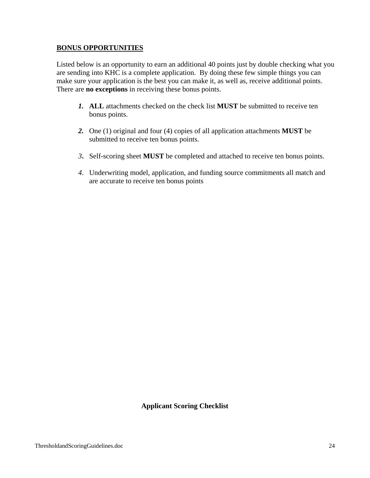### **BONUS OPPORTUNITIES**

Listed below is an opportunity to earn an additional 40 points just by double checking what you are sending into KHC is a complete application. By doing these few simple things you can make sure your application is the best you can make it, as well as, receive additional points. There are **no exceptions** in receiving these bonus points.

- *1.* **ALL** attachments checked on the check list **MUST** be submitted to receive ten bonus points.
- *2.* One (1) original and four (4) copies of all application attachments **MUST** be submitted to receive ten bonus points.
- *3***.** Self-scoring sheet **MUST** be completed and attached to receive ten bonus points.
- *4*. Underwriting model, application, and funding source commitments all match and are accurate to receive ten bonus points

# **Applicant Scoring Checklist**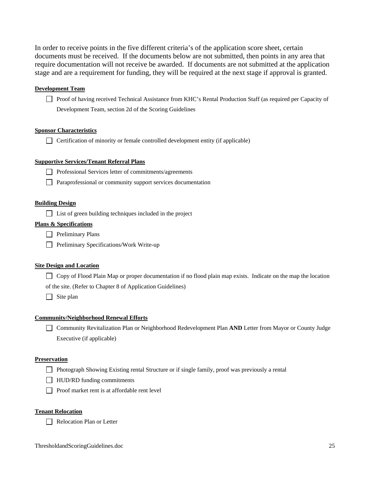In order to receive points in the five different criteria's of the application score sheet, certain documents must be received. If the documents below are not submitted, then points in any area that require documentation will not receive be awarded. If documents are not submitted at the application stage and are a requirement for funding, they will be required at the next stage if approval is granted.

#### **Development Team**

Proof of having received Technical Assistance from KHC's Rental Production Staff (as required per Capacity of Development Team, section 2d of the Scoring Guidelines

#### **Sponsor Characteristics**

 $\Box$  Certification of minority or female controlled development entity (if applicable)

#### **Supportive Services/Tenant Referral Plans**

- Professional Services letter of commitments/agreements
- Paraprofessional or community support services documentation

#### **Building Design**

 $\Box$  List of green building techniques included in the project

#### **Plans & Specifications**

- $\Box$  Preliminary Plans
- **Preliminary Specifications/Work Write-up**

#### **Site Design and Location**

□ Copy of Flood Plain Map or proper documentation if no flood plain map exists. Indicate on the map the location of the site. (Refer to Chapter 8 of Application Guidelines)

 $\Box$  Site plan

#### **Community/Neighborhood Renewal Efforts**

 Community Revitalization Plan or Neighborhood Redevelopment Plan **AND** Letter from Mayor or County Judge Executive (if applicable)

#### **Preservation**

- Photograph Showing Existing rental Structure or if single family, proof was previously a rental
- $\Box$  HUD/RD funding commitments
- $\Box$  Proof market rent is at affordable rent level

#### **Tenant Relocation**

Relocation Plan or Letter